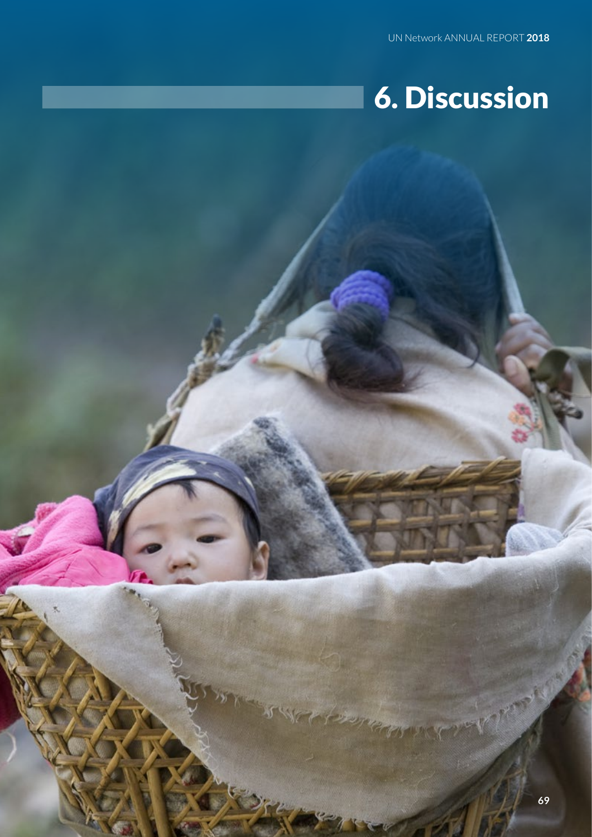## 6. Discussion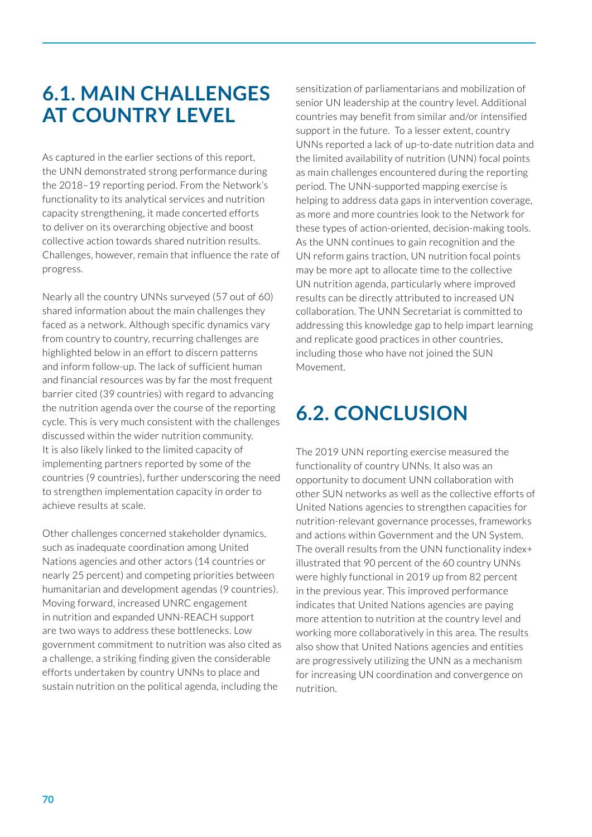## **6.1. MAIN CHALLENGES AT COUNTRY LEVEL**

As captured in the earlier sections of this report, the UNN demonstrated strong performance during the 2018–19 reporting period. From the Network's functionality to its analytical services and nutrition capacity strengthening, it made concerted efforts to deliver on its overarching objective and boost collective action towards shared nutrition results. Challenges, however, remain that influence the rate of progress.

Nearly all the country UNNs surveyed (57 out of 60) shared information about the main challenges they faced as a network. Although specific dynamics vary from country to country, recurring challenges are highlighted below in an effort to discern patterns and inform follow-up. The lack of sufficient human and financial resources was by far the most frequent barrier cited (39 countries) with regard to advancing the nutrition agenda over the course of the reporting cycle. This is very much consistent with the challenges discussed within the wider nutrition community. It is also likely linked to the limited capacity of implementing partners reported by some of the countries (9 countries), further underscoring the need to strengthen implementation capacity in order to achieve results at scale.

Other challenges concerned stakeholder dynamics, such as inadequate coordination among United Nations agencies and other actors (14 countries or nearly 25 percent) and competing priorities between humanitarian and development agendas (9 countries). Moving forward, increased UNRC engagement in nutrition and expanded UNN-REACH support are two ways to address these bottlenecks. Low government commitment to nutrition was also cited as a challenge, a striking finding given the considerable efforts undertaken by country UNNs to place and sustain nutrition on the political agenda, including the

sensitization of parliamentarians and mobilization of senior UN leadership at the country level. Additional countries may benefit from similar and/or intensified support in the future. To a lesser extent, country UNNs reported a lack of up-to-date nutrition data and the limited availability of nutrition (UNN) focal points as main challenges encountered during the reporting period. The UNN-supported mapping exercise is helping to address data gaps in intervention coverage, as more and more countries look to the Network for these types of action-oriented, decision-making tools. As the UNN continues to gain recognition and the UN reform gains traction, UN nutrition focal points may be more apt to allocate time to the collective UN nutrition agenda, particularly where improved results can be directly attributed to increased UN collaboration. The UNN Secretariat is committed to addressing this knowledge gap to help impart learning and replicate good practices in other countries, including those who have not joined the SUN Movement.

## **6.2. CONCLUSION**

The 2019 UNN reporting exercise measured the functionality of country UNNs. It also was an opportunity to document UNN collaboration with other SUN networks as well as the collective efforts of United Nations agencies to strengthen capacities for nutrition-relevant governance processes, frameworks and actions within Government and the UN System. The overall results from the UNN functionality index+ illustrated that 90 percent of the 60 country UNNs were highly functional in 2019 up from 82 percent in the previous year. This improved performance indicates that United Nations agencies are paying more attention to nutrition at the country level and working more collaboratively in this area. The results also show that United Nations agencies and entities are progressively utilizing the UNN as a mechanism for increasing UN coordination and convergence on nutrition.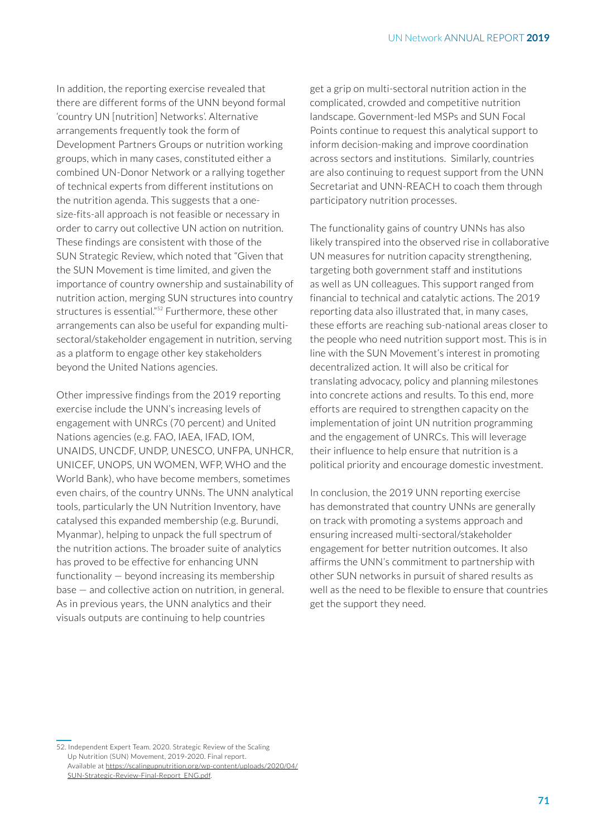In addition, the reporting exercise revealed that there are different forms of the UNN beyond formal 'country UN [nutrition] Networks'. Alternative arrangements frequently took the form of Development Partners Groups or nutrition working groups, which in many cases, constituted either a combined UN-Donor Network or a rallying together of technical experts from different institutions on the nutrition agenda. This suggests that a onesize-fits-all approach is not feasible or necessary in order to carry out collective UN action on nutrition. These findings are consistent with those of the SUN Strategic Review, which noted that "Given that the SUN Movement is time limited, and given the importance of country ownership and sustainability of nutrition action, merging SUN structures into country structures is essential."<sup>52</sup> Furthermore, these other arrangements can also be useful for expanding multisectoral/stakeholder engagement in nutrition, serving as a platform to engage other key stakeholders beyond the United Nations agencies.

Other impressive findings from the 2019 reporting exercise include the UNN's increasing levels of engagement with UNRCs (70 percent) and United Nations agencies (e.g. FAO, IAEA, IFAD, IOM, UNAIDS, UNCDF, UNDP, UNESCO, UNFPA, UNHCR, UNICEF, UNOPS, UN WOMEN, WFP, WHO and the World Bank), who have become members, sometimes even chairs, of the country UNNs. The UNN analytical tools, particularly the UN Nutrition Inventory, have catalysed this expanded membership (e.g. Burundi, Myanmar), helping to unpack the full spectrum of the nutrition actions. The broader suite of analytics has proved to be effective for enhancing UNN functionality — beyond increasing its membership base — and collective action on nutrition, in general. As in previous years, the UNN analytics and their visuals outputs are continuing to help countries

get a grip on multi-sectoral nutrition action in the complicated, crowded and competitive nutrition landscape. Government-led MSPs and SUN Focal Points continue to request this analytical support to inform decision-making and improve coordination across sectors and institutions. Similarly, countries are also continuing to request support from the UNN Secretariat and UNN-REACH to coach them through participatory nutrition processes.

The functionality gains of country UNNs has also likely transpired into the observed rise in collaborative UN measures for nutrition capacity strengthening, targeting both government staff and institutions as well as UN colleagues. This support ranged from financial to technical and catalytic actions. The 2019 reporting data also illustrated that, in many cases, these efforts are reaching sub-national areas closer to the people who need nutrition support most. This is in line with the SUN Movement's interest in promoting decentralized action. It will also be critical for translating advocacy, policy and planning milestones into concrete actions and results. To this end, more efforts are required to strengthen capacity on the implementation of joint UN nutrition programming and the engagement of UNRCs. This will leverage their influence to help ensure that nutrition is a political priority and encourage domestic investment.

In conclusion, the 2019 UNN reporting exercise has demonstrated that country UNNs are generally on track with promoting a systems approach and ensuring increased multi-sectoral/stakeholder engagement for better nutrition outcomes. It also affirms the UNN's commitment to partnership with other SUN networks in pursuit of shared results as well as the need to be flexible to ensure that countries get the support they need.

<sup>52.</sup> Independent Expert Team. 2020. Strategic Review of the Scaling Up Nutrition (SUN) Movement, 2019-2020. Final report. Available at https://scalingupnutrition.org/wp-content/uploads/2020/04/ SUN-Strategic-Review-Final-Report\_ENG.pdf.